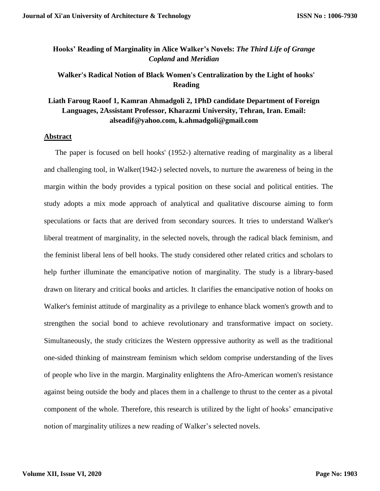# **Hooks' Reading of Marginality in Alice Walker's Novels:** *The Third Life of Grange Copland* **and** *Meridian*

# **Walker's Radical Notion of Black Women's Centralization by the Light of hooks' Reading**

# **Liath Faroug Raoof 1, Kamran Ahmadgoli 2, 1PhD candidate Department of Foreign Languages, 2Assistant Professor, Kharazmi University, Tehran, Iran. Email: alseadif@yahoo.com, k.ahmadgoli@gmail.com**

# **Abstract**

 The paper is focused on bell hooks' (1952-) alternative reading of marginality as a liberal and challenging tool, in Walker(1942-) selected novels, to nurture the awareness of being in the margin within the body provides a typical position on these social and political entities. The study adopts a mix mode approach of analytical and qualitative discourse aiming to form speculations or facts that are derived from secondary sources. It tries to understand Walker's liberal treatment of marginality, in the selected novels, through the radical black feminism, and the feminist liberal lens of bell hooks. The study considered other related critics and scholars to help further illuminate the emancipative notion of marginality. The study is a library-based drawn on literary and critical books and articles. It clarifies the emancipative notion of hooks on Walker's feminist attitude of marginality as a privilege to enhance black women's growth and to strengthen the social bond to achieve revolutionary and transformative impact on society. Simultaneously, the study criticizes the Western oppressive authority as well as the traditional one-sided thinking of mainstream feminism which seldom comprise understanding of the lives of people who live in the margin. Marginality enlightens the Afro-American women's resistance against being outside the body and places them in a challenge to thrust to the center as a pivotal component of the whole. Therefore, this research is utilized by the light of hooks' emancipative notion of marginality utilizes a new reading of Walker's selected novels.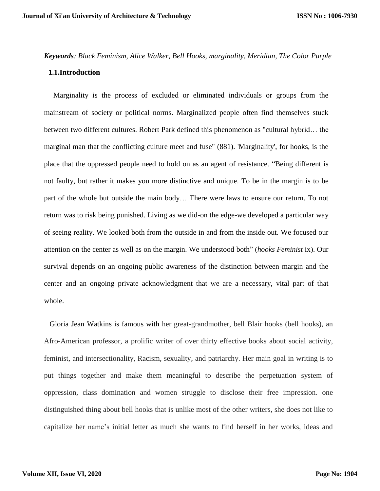# *Keywords: Black Feminism, Alice Walker, Bell Hooks, marginality, Meridian, The Color Purple* **1.1.Introduction**

 Marginality is the process of excluded or eliminated individuals or groups from the mainstream of society or political norms. Marginalized people often find themselves stuck between two different cultures. Robert Park defined this phenomenon as "cultural hybrid… the marginal man that the conflicting culture meet and fuse" (881). 'Marginality', for hooks, is the place that the oppressed people need to hold on as an agent of resistance. "Being different is not faulty, but rather it makes you more distinctive and unique. To be in the margin is to be part of the whole but outside the main body… There were laws to ensure our return. To not return was to risk being punished. Living as we did-on the edge-we developed a particular way of seeing reality. We looked both from the outside in and from the inside out. We focused our attention on the center as well as on the margin. We understood both" (*hooks Feminist* ix). Our survival depends on an ongoing public awareness of the distinction between margin and the center and an ongoing private acknowledgment that we are a necessary, vital part of that whole.

Gloria Jean Watkins is famous with her great-grandmother, bell Blair hooks (bell hooks), an Afro-American professor, a prolific writer of over thirty effective books about social activity, feminist, and intersectionality, Racism, sexuality, and patriarchy. Her main goal in writing is to put things together and make them meaningful to describe the perpetuation system of oppression, class domination and women struggle to disclose their free impression. one distinguished thing about bell hooks that is unlike most of the other writers, she does not like to capitalize her name's initial letter as much she wants to find herself in her works, ideas and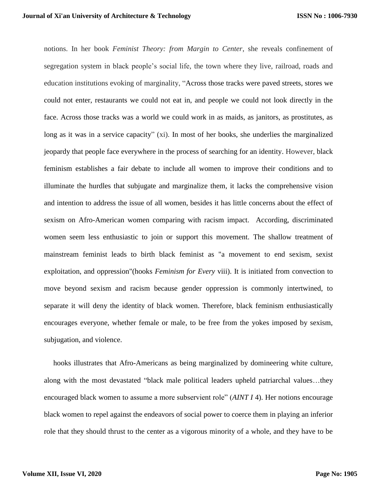notions. In her book *Feminist Theory: from Margin to Center*, she reveals confinement of segregation system in black people's social life, the town where they live, railroad, roads and education institutions evoking of marginality, "Across those tracks were paved streets, stores we could not enter, restaurants we could not eat in, and people we could not look directly in the face. Across those tracks was a world we could work in as maids, as janitors, as prostitutes, as long as it was in a service capacity" (xi). In most of her books, she underlies the marginalized jeopardy that people face everywhere in the process of searching for an identity. However, black feminism establishes a fair debate to include all women to improve their conditions and to illuminate the hurdles that subjugate and marginalize them, it lacks the comprehensive vision and intention to address the issue of all women, besides it has little concerns about the effect of sexism on Afro-American women comparing with racism impact. According, discriminated women seem less enthusiastic to join or support this movement. The shallow treatment of mainstream feminist leads to birth black feminist as "a movement to end sexism, sexist exploitation, and oppression"(hooks *Feminism for Every* viii). It is initiated from convection to move beyond sexism and racism because gender oppression is commonly intertwined, to separate it will deny the identity of black women. Therefore, black feminism enthusiastically encourages everyone, whether female or male, to be free from the yokes imposed by sexism, subjugation, and violence.

 hooks illustrates that Afro-Americans as being marginalized by domineering white culture, along with the most devastated "black male political leaders upheld patriarchal values…they encouraged black women to assume a more subservient role" (*AINT I* 4). Her notions encourage black women to repel against the endeavors of social power to coerce them in playing an inferior role that they should thrust to the center as a vigorous minority of a whole, and they have to be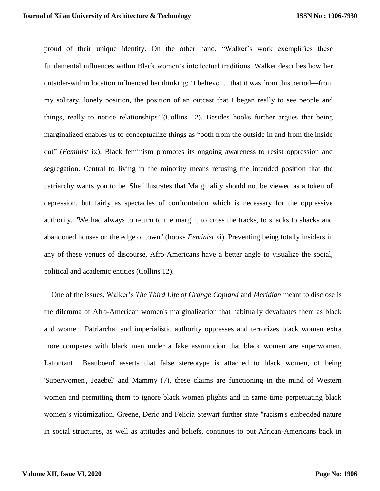proud of their unique identity. On the other hand, "Walker's work exemplifies these fundamental influences within Black women's intellectual traditions. Walker describes how her outsider-within location influenced her thinking: 'I believe … that it was from this period—from my solitary, lonely position, the position of an outcast that I began really to see people and things, really to notice relationships'"(Collins 12). Besides hooks further argues that being marginalized enables us to conceptualize things as "both from the outside in and from the inside out" (*Feminist* ix). Black feminism promotes its ongoing awareness to resist oppression and segregation. Central to living in the minority means refusing the intended position that the patriarchy wants you to be. She illustrates that Marginality should not be viewed as a token of depression, but fairly as spectacles of confrontation which is necessary for the oppressive authority. "We had always to return to the margin, to cross the tracks, to shacks to shacks and abandoned houses on the edge of town" (hooks *Feminist* xi). Preventing being totally insiders in any of these venues of discourse, Afro-Americans have a better angle to visualize the social, political and academic entities (Collins 12).

 One of the issues, Walker's *The Third Life of Grange Copland* and *Meridian* meant to disclose is the dilemma of Afro-American women's marginalization that habitually devaluates them as black and women. Patriarchal and imperialistic authority oppresses and terrorizes black women extra more compares with black men under a fake assumption that black women are superwomen. Lafontant Beauboeuf asserts that false stereotype is attached to black women, of being 'Superwomen', Jezebel' and Mammy [\(7\)](file:///E:/Chapter%2033%20three/final/final%20draft%20chapter%203.docx%23beauboeuf), these claims are functioning in the mind of Western women and permitting them to ignore black women plights and in same time perpetuating black women's victimization. Greene, Deric and Felicia Stewart further state "racism's embedded nature in social structures, as well as attitudes and beliefs, continues to put African-Americans back in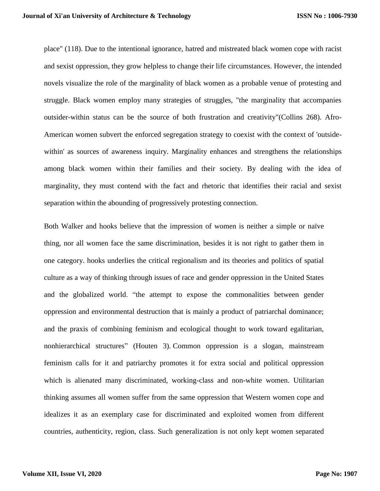place" (118). Due to the intentional ignorance, hatred and mistreated black women cope with racist and sexist oppression, they grow helpless to change their life circumstances. However, the intended novels visualize the role of the marginality of black women as a probable venue of protesting and struggle. Black women employ many strategies of struggles, "the marginality that accompanies outsider-within status can be the source of both frustration and creativity"(Collins 268). Afro-American women subvert the enforced segregation strategy to coexist with the context of 'outsidewithin' as sources of awareness inquiry. Marginality enhances and strengthens the relationships among black women within their families and their society. By dealing with the idea of marginality, they must contend with the fact and rhetoric that identifies their racial and sexist separation within the abounding of progressively protesting connection.

Both Walker and hooks believe that the impression of women is neither a simple or naïve thing, nor all women face the same discrimination, besides it is not right to gather them in one category. hooks underlies the critical regionalism and its theories and politics of spatial culture as a way of thinking through issues of race and gender oppression in the United States and the globalized world. "the attempt to expose the commonalities between gender oppression and environmental destruction that is mainly a product of patriarchal dominance; and the praxis of combining feminism and ecological thought to work toward egalitarian, nonhierarchical structures" (Houten 3). Common oppression is a slogan, mainstream feminism calls for it and patriarchy promotes it for extra social and political oppression which is alienated many discriminated, working-class and non-white women. Utilitarian thinking assumes all women suffer from the same oppression that Western women cope and idealizes it as an exemplary case for discriminated and exploited women from different countries, authenticity, region, class. Such generalization is not only kept women separated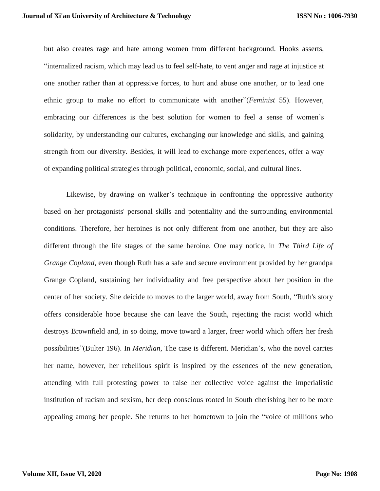but also creates rage and hate among women from different background. Hooks asserts, "internalized racism, which may lead us to feel self-hate, to vent anger and rage at injustice at one another rather than at oppressive forces, to hurt and abuse one another, or to lead one ethnic group to make no effort to communicate with another"(*Feminist* 55). However, embracing our differences is the best solution for women to feel a sense of women's solidarity, by understanding our cultures, exchanging our knowledge and skills, and gaining strength from our diversity. Besides, it will lead to exchange more experiences, offer a way of expanding political strategies through political, economic, social, and cultural lines.

Likewise, by drawing on walker's technique in confronting the oppressive authority based on her protagonists' personal skills and potentiality and the surrounding environmental conditions. Therefore, her heroines is not only different from one another, but they are also different through the life stages of the same heroine. One may notice, in *The Third Life of Grange Copland,* even though Ruth has a safe and secure environment provided by her grandpa Grange Copland, sustaining her individuality and free perspective about her position in the center of her society. She deicide to moves to the larger world, away from South, "Ruth's story offers considerable hope because she can leave the South, rejecting the racist world which destroys Brownfield and, in so doing, move toward a larger, freer world which offers her fresh possibilities"(Bulter 196). In *Meridian*, The case is different. Meridian's, who the novel carries her name, however, her rebellious spirit is inspired by the essences of the new generation, attending with full protesting power to raise her collective voice against the imperialistic institution of racism and sexism, her deep conscious rooted in South cherishing her to be more appealing among her people. She returns to her hometown to join the "voice of millions who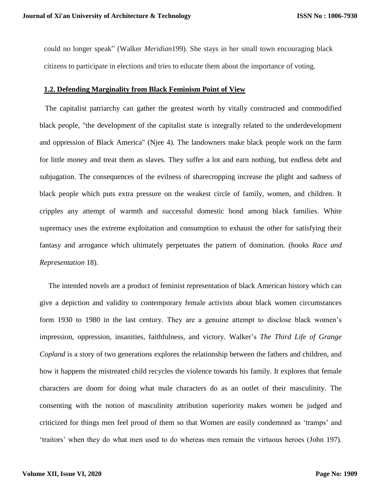could no longer speak" (Walker *Meridian*199). She stays in her small town encouraging black citizens to participate in elections and tries to educate them about the importance of voting.

#### **1.2. Defending Marginality from Black Feminism Point of View**

 The capitalist patriarchy can gather the greatest worth by vitally constructed and commodified black people, "the development of the capitalist state is integrally related to the underdevelopment and oppression of Black America" (Njee 4). The landowners make black people work on the farm for little money and treat them as slaves. They suffer a lot and earn nothing, but endless debt and subjugation. The consequences of the evilness of sharecropping increase the plight and sadness of black people which puts extra pressure on the weakest circle of family, women, and children. It cripples any attempt of warmth and successful domestic bond among black families. White supremacy uses the extreme exploitation and consumption to exhaust the other for satisfying their fantasy and arrogance which ultimately perpetuates the pattern of domination. (hooks *Race and Representation* 18).

The intended novels are a product of feminist representation of black American history which can give a depiction and validity to contemporary female activists about black women circumstances form 1930 to 1980 in the last century. They are a genuine attempt to disclose black women's impression, oppression, insanities, faithfulness, and victory. Walker's *The Third Life of Grange Copland* is a story of two generations explores the relationship between the fathers and children, and how it happens the mistreated child recycles the violence towards his family. It explores that female characters are doom for doing what male characters do as an outlet of their masculinity. The consenting with the notion of masculinity attribution superiority makes women be judged and criticized for things men feel proud of them so that Women are easily condemned as 'tramps' and 'traitors' when they do what men used to do whereas men remain the virtuous heroes (John 197).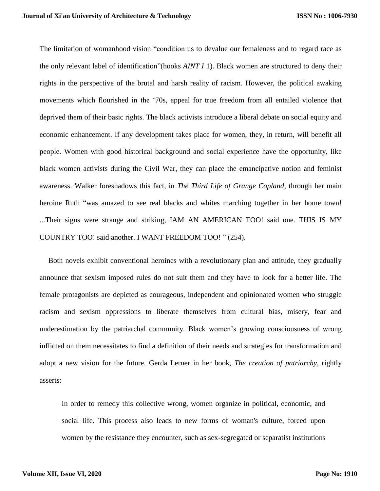The limitation of womanhood vision "condition us to devalue our femaleness and to regard race as the only relevant label of identification"(hooks *AINT I* 1). Black women are structured to deny their rights in the perspective of the brutal and harsh reality of racism. However, the political awaking movements which flourished in the '70s, appeal for true freedom from all entailed violence that deprived them of their basic rights. The black activists introduce a liberal debate on social equity and economic enhancement. If any development takes place for women, they, in return, will benefit all people. Women with good historical background and social experience have the opportunity, like black women activists during the Civil War, they can place the emancipative notion and feminist awareness. Walker foreshadows this fact, in *The Third Life of Grange Copland*, through her main heroine Ruth "was amazed to see real blacks and whites marching together in her home town! ...Their signs were strange and striking, IAM AN AMERICAN TOO! said one. THIS IS MY COUNTRY TOO! said another. I WANT FREEDOM TOO! " (254).

Both novels exhibit conventional heroines with a revolutionary plan and attitude, they gradually announce that sexism imposed rules do not suit them and they have to look for a better life. The female protagonists are depicted as courageous, independent and opinionated women who struggle racism and sexism oppressions to liberate themselves from cultural bias, misery, fear and underestimation by the patriarchal community. Black women's growing consciousness of wrong inflicted on them necessitates to find a definition of their needs and strategies for transformation and adopt a new vision for the future. Gerda Lerner in her book, *The creation of patriarchy*, rightly asserts:

In order to remedy this collective wrong, women organize in political, economic, and social life. This process also leads to new forms of woman's culture, forced upon women by the resistance they encounter, such as sex-segregated or separatist institutions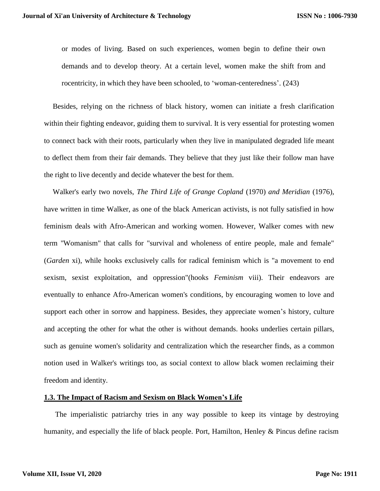or modes of living. Based on such experiences, women begin to define their own demands and to develop theory. At a certain level, women make the shift from and rocentricity, in which they have been schooled, to 'woman-centeredness'. (243)

Besides, relying on the richness of black history, women can initiate a fresh clarification within their fighting endeavor, guiding them to survival. It is very essential for protesting women to connect back with their roots, particularly when they live in manipulated degraded life meant to deflect them from their fair demands. They believe that they just like their follow man have the right to live decently and decide whatever the best for them.

Walker's early two novels, *The Third Life of Grange Copland* (1970) *and Meridian* (1976), have written in time Walker, as one of the black American activists, is not fully satisfied in how feminism deals with Afro-American and working women. However, Walker comes with new term ''Womanism" that calls for "survival and wholeness of entire people, male and female" (*Garden* xi), while hooks exclusively calls for radical feminism which is "a movement to end sexism, sexist exploitation, and oppression"(hooks *Feminism* viii). Their endeavors are eventually to enhance Afro-American women's conditions, by encouraging women to love and support each other in sorrow and happiness. Besides, they appreciate women's history, culture and accepting the other for what the other is without demands. hooks underlies certain pillars, such as genuine women's solidarity and centralization which the researcher finds, as a common notion used in Walker's writings too, as social context to allow black women reclaiming their freedom and identity.

## **1.3. The Impact of Racism and Sexism on Black Women's Life**

 The imperialistic patriarchy tries in any way possible to keep its vintage by destroying humanity, and especially the life of black people. Port, Hamilton, Henley & Pincus define racism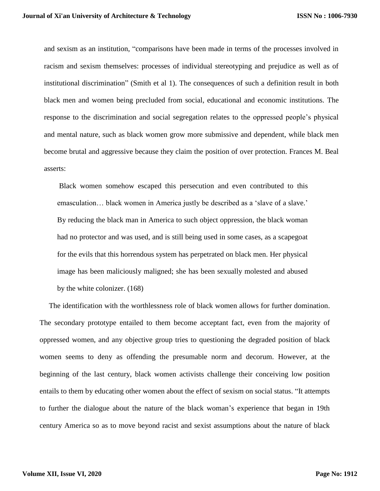and sexism as an institution, "comparisons have been made in terms of the processes involved in racism and sexism themselves: processes of individual stereotyping and prejudice as well as of institutional discrimination" (Smith et al 1). The consequences of such a definition result in both black men and women being precluded from social, educational and economic institutions. The response to the discrimination and social segregation relates to the oppressed people's physical and mental nature, such as black women grow more submissive and dependent, while black men become brutal and aggressive because they claim the position of over protection. Frances M. Beal asserts:

Black women somehow escaped this persecution and even contributed to this emasculation… black women in America justly be described as a 'slave of a slave.' By reducing the black man in America to such object oppression, the black woman had no protector and was used, and is still being used in some cases, as a scapegoat for the evils that this horrendous system has perpetrated on black men. Her physical image has been maliciously maligned; she has been sexually molested and abused by the white colonizer. (168)

 The identification with the worthlessness role of black women allows for further domination. The secondary prototype entailed to them become acceptant fact, even from the majority of oppressed women, and any objective group tries to questioning the degraded position of black women seems to deny as offending the presumable norm and decorum. However, at the beginning of the last century, black women activists challenge their conceiving low position entails to them by educating other women about the effect of sexism on social status. "It attempts to further the dialogue about the nature of the black woman's experience that began in 19th century America so as to move beyond racist and sexist assumptions about the nature of black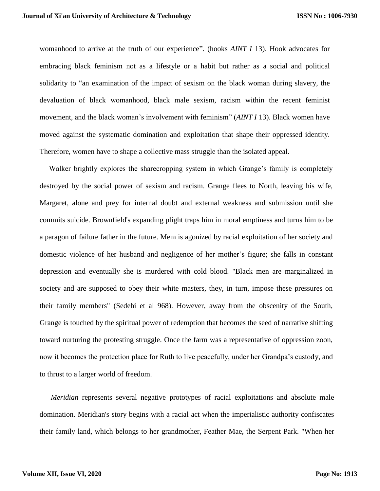womanhood to arrive at the truth of our experience". (hooks *AINT I* 13). Hook advocates for embracing black feminism not as a lifestyle or a habit but rather as a social and political solidarity to "an examination of the impact of sexism on the black woman during slavery, the devaluation of black womanhood, black male sexism, racism within the recent feminist movement, and the black woman's involvement with feminism" (*AINT I* 13). Black women have moved against the systematic domination and exploitation that shape their oppressed identity. Therefore, women have to shape a collective mass struggle than the isolated appeal.

Walker brightly explores the sharecropping system in which Grange's family is completely destroyed by the social power of sexism and racism. Grange flees to North, leaving his wife, Margaret, alone and prey for internal doubt and external weakness and submission until she commits suicide. Brownfield's expanding plight traps him in moral emptiness and turns him to be a paragon of failure father in the future. Mem is agonized by racial exploitation of her society and domestic violence of her husband and negligence of her mother's figure; she falls in constant depression and eventually she is murdered with cold blood. "Black men are marginalized in society and are supposed to obey their white masters, they, in turn, impose these pressures on their family members" (Sedehi et al 968). However, away from the obscenity of the South, Grange is touched by the spiritual power of redemption that becomes the seed of narrative shifting toward nurturing the protesting struggle. Once the farm was a representative of oppression zoon, now it becomes the protection place for Ruth to live peacefully, under her Grandpa's custody, and to thrust to a larger world of freedom.

 *Meridian* represents several negative prototypes of racial exploitations and absolute male domination. Meridian's story begins with a racial act when the imperialistic authority confiscates their family land, which belongs to her grandmother, Feather Mae, the Serpent Park. "When her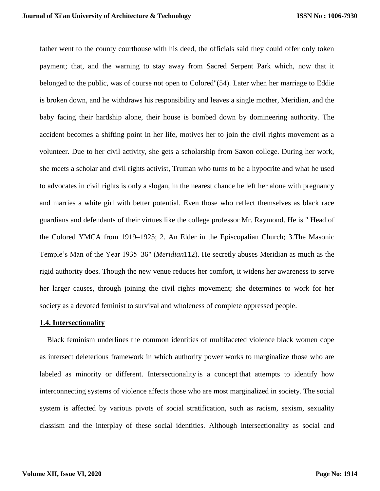father went to the county courthouse with his deed, the officials said they could offer only token payment; that, and the warning to stay away from Sacred Serpent Park which, now that it belonged to the public, was of course not open to Colored"(54). Later when her marriage to Eddie is broken down, and he withdraws his responsibility and leaves a single mother, Meridian, and the baby facing their hardship alone, their house is bombed down by domineering authority. The accident becomes a shifting point in her life, motives her to join the civil rights movement as a volunteer. Due to her civil activity, she gets a scholarship from Saxon college. During her work, she meets a scholar and civil rights activist, Truman who turns to be a hypocrite and what he used to advocates in civil rights is only a slogan, in the nearest chance he left her alone with pregnancy and marries a white girl with better potential. Even those who reflect themselves as black race guardians and defendants of their virtues like the college professor Mr. Raymond. He is " Head of the Colored YMCA from 1919–1925; 2. An Elder in the Episcopalian Church; 3.The Masonic Temple's Man of the Year 1935–36" (*Meridian*112). He secretly abuses Meridian as much as the rigid authority does. Though the new venue reduces her comfort, it widens her awareness to serve her larger causes, through joining the civil rights movement; she determines to work for her society as a devoted feminist to survival and wholeness of complete oppressed people.

#### **1.4. Intersectionality**

 Black feminism underlines the common identities of multifaceted violence black women cope as intersect deleterious framework in which authority power works to marginalize those who are labeled as minority or different. Intersectionality is a concept that attempts to identify how interconnecting systems of violence affects those who are most marginalized in society. The social system is affected by various pivots of social stratification, such as racism, sexism, sexuality classism and the interplay of these social identities. Although intersectionality as social and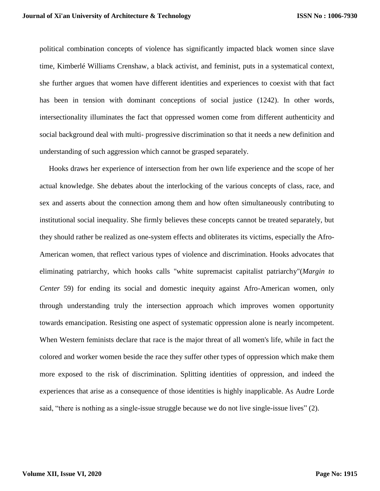political combination concepts of violence has significantly impacted black women since slave time, [Kimberlé Williams Crenshaw,](https://en.wikipedia.org/wiki/Kimberl%C3%A9_Williams_Crenshaw) a black activist, and feminist, puts in a systematical context, she further argues that women have different identities and experiences to coexist with that fact has been in tension with dominant conceptions of social justice (1242). In other words, intersectionality illuminates the fact that oppressed women come from different authenticity and social background deal with multi- progressive discrimination so that it needs a new definition and understanding of such aggression which cannot be grasped separately.

 Hooks draws her experience of intersection from her own life experience and the scope of her actual knowledge. She debates about the interlocking of the various concepts of class, race, and sex and asserts about the connection among them and how often simultaneously contributing to institutional social inequality. She firmly believes these concepts cannot be treated separately, but they should rather be realized as one-system effects and obliterates its victims, especially the Afro-American women, that reflect various types of violence and discrimination. Hooks advocates that eliminating patriarchy, which hooks calls "white supremacist capitalist patriarchy"(*Margin to Center* 59) for ending its social and domestic inequity against Afro-American women, only through understanding truly the intersection approach which improves women opportunity towards emancipation. Resisting one aspect of systematic oppression alone is nearly incompetent. When Western feminists declare that race is the major threat of all women's life, while in fact the colored and worker women beside the race they suffer other types of oppression which make them more exposed to the risk of discrimination. Splitting identities of oppression, and indeed the experiences that arise as a consequence of those identities is highly inapplicable. As Audre Lorde said, "there is nothing as a single-issue struggle because we do not live single-issue lives" (2).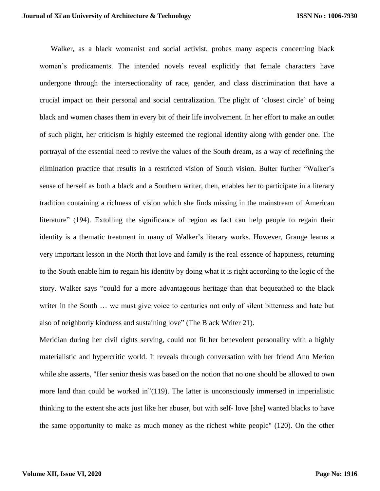Walker, as a black womanist and social activist, probes many aspects concerning black women's predicaments. The intended novels reveal explicitly that female characters have undergone through the intersectionality of race, gender, and class discrimination that have a crucial impact on their personal and social centralization. The plight of 'closest circle' of being black and women chases them in every bit of their life involvement. In her effort to make an outlet of such plight, her criticism is highly esteemed the regional identity along with gender one. The portrayal of the essential need to revive the values of the South dream, as a way of redefining the elimination practice that results in a restricted vision of South vision. Bulter further "Walker's sense of herself as both a black and a Southern writer, then, enables her to participate in a literary tradition containing a richness of vision which she finds missing in the mainstream of American literature" (194). Extolling the significance of region as fact can help people to regain their identity is a thematic treatment in many of Walker's literary works. However, Grange learns a very important lesson in the North that love and family is the real essence of happiness, returning to the South enable him to regain his identity by doing what it is right according to the logic of the story. Walker says "could for a more advantageous heritage than that bequeathed to the black writer in the South … we must give voice to centuries not only of silent bitterness and hate but also of neighborly kindness and sustaining love" (The Black Writer 21).

Meridian during her civil rights serving, could not fit her benevolent personality with a highly materialistic and hypercritic world. It reveals through conversation with her friend Ann Merion while she asserts, "Her senior thesis was based on the notion that no one should be allowed to own more land than could be worked in"(119). The latter is unconsciously immersed in imperialistic thinking to the extent she acts just like her abuser, but with self- love [she] wanted blacks to have the same opportunity to make as much money as the richest white people" (120). On the other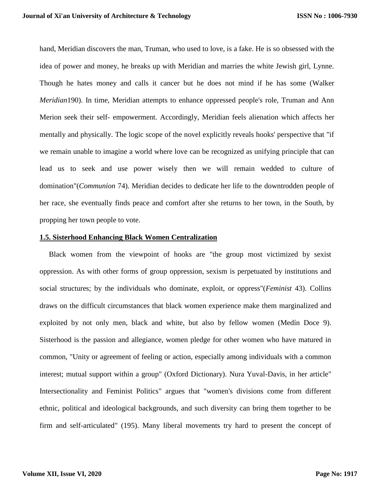hand, Meridian discovers the man, Truman, who used to love, is a fake. He is so obsessed with the idea of power and money, he breaks up with Meridian and marries the white Jewish girl, Lynne. Though he hates money and calls it cancer but he does not mind if he has some (Walker *Meridian*190). In time, Meridian attempts to enhance oppressed people's role, Truman and Ann Merion seek their self- empowerment. Accordingly, Meridian feels alienation which affects her mentally and physically. The logic scope of the novel explicitly reveals hooks' perspective that "if we remain unable to imagine a world where love can be recognized as unifying principle that can lead us to seek and use power wisely then we will remain wedded to culture of domination"(*Communion* 74). Meridian decides to dedicate her life to the downtrodden people of her race, she eventually finds peace and comfort after she returns to her town, in the South, by propping her town people to vote.

#### **1.5. Sisterhood Enhancing Black Women Centralization**

Black women from the viewpoint of hooks are "the group most victimized by sexist oppression. As with other forms of group oppression, sexism is perpetuated by institutions and social structures; by the individuals who dominate, exploit, or oppress"(*Feminist* 43). Collins draws on the difficult circumstances that black women experience make them marginalized and exploited by not only men, black and white, but also by fellow women (Medín Doce 9). Sisterhood is the passion and allegiance, women pledge for other women who have matured in common, "Unity or agreement of feeling or action, especially among individuals with a common interest; mutual support within a group" (Oxford Dictionary). Nura Yuval-Davis, in her article" Intersectionality and Feminist Politics" argues that "women's divisions come from different ethnic, political and ideological backgrounds, and such diversity can bring them together to be firm and self-articulated" (195). Many liberal movements try hard to present the concept of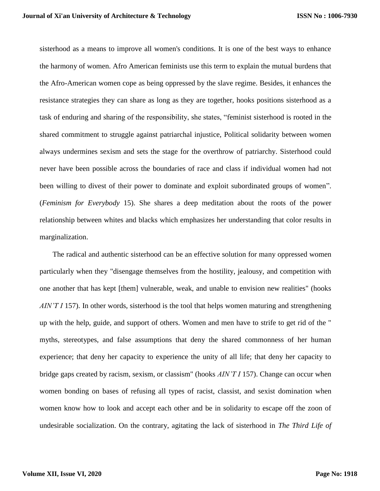sisterhood as a means to improve all women's conditions. It is one of the best ways to enhance the harmony of women. Afro American feminists use this term to explain the mutual burdens that the Afro-American women cope as being oppressed by the slave regime. Besides, it enhances the resistance strategies they can share as long as they are together, hooks positions sisterhood as a task of enduring and sharing of the responsibility, she states, "feminist sisterhood is rooted in the shared commitment to struggle against patriarchal injustice, Political solidarity between women always undermines sexism and sets the stage for the overthrow of patriarchy. Sisterhood could never have been possible across the boundaries of race and class if individual women had not been willing to divest of their power to dominate and exploit subordinated groups of women". (*Feminism for Everybody* 15). She shares a deep meditation about the roots of the power relationship between whites and blacks which emphasizes her understanding that color results in marginalization.

 The radical and authentic sisterhood can be an effective solution for many oppressed women particularly when they "disengage themselves from the hostility, jealousy, and competition with one another that has kept [them] vulnerable, weak, and unable to envision new realities" (hooks *AIN'T I* 157). In other words, sisterhood is the tool that helps women maturing and strengthening up with the help, guide, and support of others. Women and men have to strife to get rid of the " myths, stereotypes, and false assumptions that deny the shared commonness of her human experience; that deny her capacity to experience the unity of all life; that deny her capacity to bridge gaps created by racism, sexism, or classism" (hooks *AIN'T I* 157). Change can occur when women bonding on bases of refusing all types of racist, classist, and sexist domination when women know how to look and accept each other and be in solidarity to escape off the zoon of undesirable socialization. On the contrary, agitating the lack of sisterhood in *The Third Life of*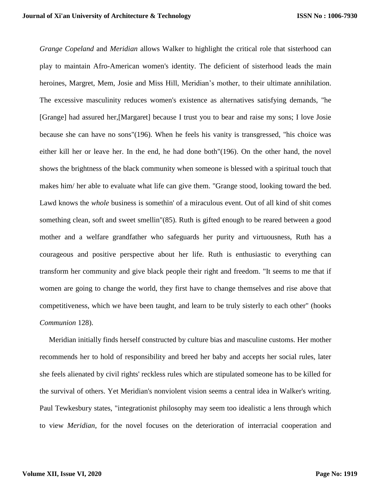*Grange Copeland* and *Meridian* allows Walker to highlight the critical role that sisterhood can play to maintain Afro-American women's identity. The deficient of sisterhood leads the main heroines, Margret, Mem, Josie and Miss Hill, Meridian's mother, to their ultimate annihilation. The excessive masculinity reduces women's existence as alternatives satisfying demands, "he [Grange] had assured her,[Margaret] because I trust you to bear and raise my sons; I love Josie because she can have no sons"(196). When he feels his vanity is transgressed, "his choice was either kill her or leave her. In the end, he had done both"(196). On the other hand, the novel shows the brightness of the black community when someone is blessed with a spiritual touch that makes him/ her able to evaluate what life can give them. "Grange stood, looking toward the bed. Lawd knows the *whole* business is somethin' of a miraculous event. Out of all kind of shit comes something clean, soft and sweet smellin"(85). Ruth is gifted enough to be reared between a good mother and a welfare grandfather who safeguards her purity and virtuousness, Ruth has a courageous and positive perspective about her life. Ruth is enthusiastic to everything can transform her community and give black people their right and freedom. "It seems to me that if women are going to change the world, they first have to change themselves and rise above that competitiveness, which we have been taught, and learn to be truly sisterly to each other" (hooks *Communion* 128).

 Meridian initially finds herself constructed by culture bias and masculine customs. Her mother recommends her to hold of responsibility and breed her baby and accepts her social rules, later she feels alienated by civil rights' reckless rules which are stipulated someone has to be killed for the survival of others. Yet Meridian's nonviolent vision seems a central idea in Walker's writing. Paul Tewkesbury states, "integrationist philosophy may seem too idealistic a lens through which to view *Meridian*, for the novel focuses on the deterioration of interracial cooperation and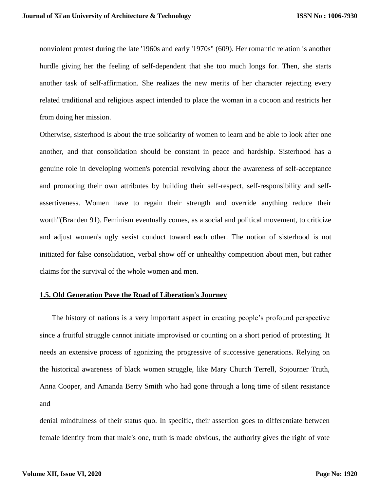nonviolent protest during the late '1960s and early '1970s" (609). Her romantic relation is another hurdle giving her the feeling of self-dependent that she too much longs for. Then, she starts another task of self-affirmation. She realizes the new merits of her character rejecting every related traditional and religious aspect intended to place the woman in a cocoon and restricts her from doing her mission.

Otherwise, sisterhood is about the true solidarity of women to learn and be able to look after one another, and that consolidation should be constant in peace and hardship. Sisterhood has a genuine role in developing women's potential revolving about the awareness of self-acceptance and promoting their own attributes by building their self-respect, self-responsibility and selfassertiveness. Women have to regain their strength and override anything reduce their worth"(Branden 91). Feminism eventually comes, as a social and political movement, to criticize and adjust women's ugly sexist conduct toward each other. The notion of sisterhood is not initiated for false consolidation, verbal show off or unhealthy competition about men, but rather claims for the survival of the whole women and men.

## **1.5. Old Generation Pave the Road of Liberation's Journey**

 The history of nations is a very important aspect in creating people's profound perspective since a fruitful struggle cannot initiate improvised or counting on a short period of protesting. It needs an extensive process of agonizing the progressive of successive generations. Relying on the historical awareness of black women struggle, like Mary Church Terrell, Sojourner Truth, Anna Cooper, and Amanda Berry Smith who had gone through a long time of silent resistance and

denial mindfulness of their status quo. In specific, their assertion goes to differentiate between female identity from that male's one, truth is made obvious, the authority gives the right of vote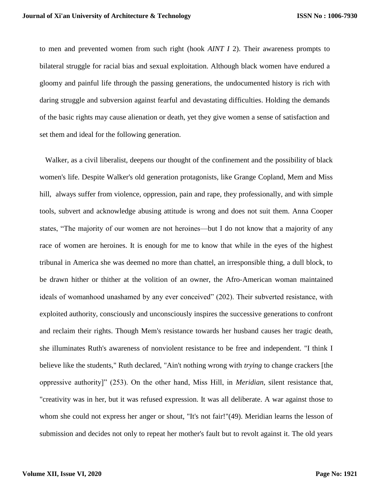to men and prevented women from such right (hook *AINT I* 2). Their awareness prompts to bilateral struggle for racial bias and sexual exploitation. Although black women have endured a gloomy and painful life through the passing generations, the undocumented history is rich with daring struggle and subversion against fearful and devastating difficulties. Holding the demands of the basic rights may cause alienation or death, yet they give women a sense of satisfaction and set them and ideal for the following generation.

 Walker, as a civil liberalist, deepens our thought of the confinement and the possibility of black women's life. Despite Walker's old generation protagonists, like Grange Copland, Mem and Miss hill, always suffer from violence, oppression, pain and rape, they professionally, and with simple tools, subvert and acknowledge abusing attitude is wrong and does not suit them. Anna Cooper states, "The majority of our women are not heroines—but I do not know that a majority of any race of women are heroines. It is enough for me to know that while in the eyes of the highest tribunal in America she was deemed no more than chattel, an irresponsible thing, a dull block, to be drawn hither or thither at the volition of an owner, the Afro-American woman maintained ideals of womanhood unashamed by any ever conceived" (202). Their subverted resistance, with exploited authority, consciously and unconsciously inspires the successive generations to confront and reclaim their rights. Though Mem's resistance towards her husband causes her tragic death, she illuminates Ruth's awareness of nonviolent resistance to be free and independent. "I think I believe like the students," Ruth declared, "Ain't nothing wrong with *trying* to change crackers [the oppressive authority]" (253). On the other hand, Miss Hill, in *Meridian*, silent resistance that, "creativity was in her, but it was refused expression. It was all deliberate. A war against those to whom she could not express her anger or shout, "It's not fair!"(49). Meridian learns the lesson of submission and decides not only to repeat her mother's fault but to revolt against it. The old years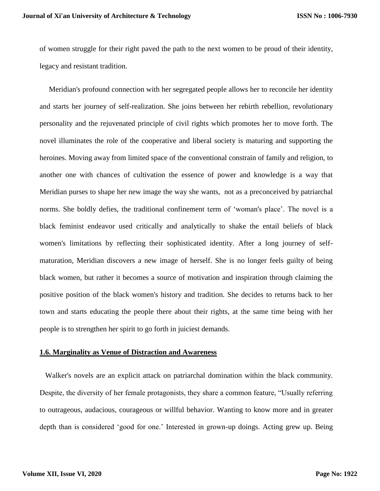of women struggle for their right paved the path to the next women to be proud of their identity, legacy and resistant tradition.

 Meridian's profound connection with her segregated people allows her to reconcile her identity and starts her journey of self-realization. She joins between her rebirth rebellion, revolutionary personality and the rejuvenated principle of civil rights which promotes her to move forth. The novel illuminates the role of the cooperative and liberal society is maturing and supporting the heroines. Moving away from limited space of the conventional constrain of family and religion, to another one with chances of cultivation the essence of power and knowledge is a way that Meridian purses to shape her new image the way she wants, not as a preconceived by patriarchal norms. She boldly defies, the traditional confinement term of 'woman's place'. The novel is a black feminist endeavor used critically and analytically to shake the entail beliefs of black women's limitations by reflecting their sophisticated identity. After a long journey of selfmaturation, Meridian discovers a new image of herself. She is no longer feels guilty of being black women, but rather it becomes a source of motivation and inspiration through claiming the positive position of the black women's history and tradition. She decides to returns back to her town and starts educating the people there about their rights, at the same time being with her people is to strengthen her spirit to go forth in juiciest demands.

#### **1.6. Marginality as Venue of Distraction and Awareness**

 Walker's novels are an explicit attack on patriarchal domination within the black community. Despite, the diversity of her female protagonists, they share a common feature, "Usually referring to outrageous, audacious, courageous or willful behavior. Wanting to know more and in greater depth than is considered 'good for one.' Interested in grown-up doings. Acting grew up. Being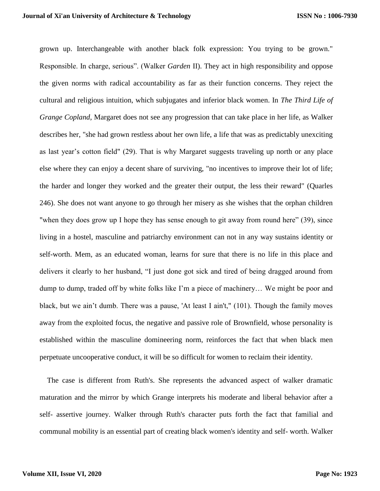grown up. Interchangeable with another black folk expression: You trying to be grown." Responsible. In charge, serious". (Walker *Garden* II). They act in high responsibility and oppose the given norms with radical accountability as far as their function concerns. They reject the cultural and religious intuition, which subjugates and inferior black women. In *The Third Life of Grange Copland*, Margaret does not see any progression that can take place in her life, as Walker describes her, "she had grown restless about her own life, a life that was as predictably unexciting as last year's cotton field" (29). That is why Margaret suggests traveling up north or any place else where they can enjoy a decent share of surviving, "no incentives to improve their lot of life; the harder and longer they worked and the greater their output, the less their reward" (Quarles 246). She does not want anyone to go through her misery as she wishes that the orphan children "when they does grow up I hope they has sense enough to git away from round here" (39), since living in a hostel, masculine and patriarchy environment can not in any way sustains identity or self-worth. Mem, as an educated woman, learns for sure that there is no life in this place and delivers it clearly to her husband, "I just done got sick and tired of being dragged around from dump to dump, traded off by white folks like I'm a piece of machinery… We might be poor and black, but we ain't dumb. There was a pause, 'At least I ain't," (101). Though the family moves away from the exploited focus, the negative and passive role of Brownfield, whose personality is established within the masculine domineering norm, reinforces the fact that when black men perpetuate uncooperative conduct, it will be so difficult for women to reclaim their identity.

 The case is different from Ruth's. She represents the advanced aspect of walker dramatic maturation and the mirror by which Grange interprets his moderate and liberal behavior after a self- assertive journey. Walker through Ruth's character puts forth the fact that familial and communal mobility is an essential part of creating black women's identity and self- worth. Walker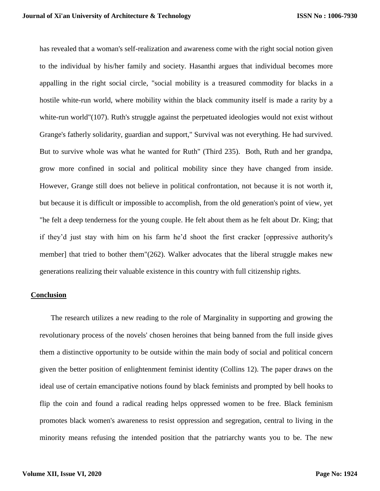has revealed that a woman's self-realization and awareness come with the right social notion given to the individual by his/her family and society. Hasanthi argues that individual becomes more appalling in the right social circle, "social mobility is a treasured commodity for blacks in a hostile white-run world, where mobility within the black community itself is made a rarity by a white-run world"(107). Ruth's struggle against the perpetuated ideologies would not exist without Grange's fatherly solidarity, guardian and support," Survival was not everything. He had survived. But to survive whole was what he wanted for Ruth" (Third 235). Both, Ruth and her grandpa, grow more confined in social and political mobility since they have changed from inside. However, Grange still does not believe in political confrontation, not because it is not worth it, but because it is difficult or impossible to accomplish, from the old generation's point of view, yet "he felt a deep tenderness for the young couple. He felt about them as he felt about Dr. King; that if they'd just stay with him on his farm he'd shoot the first cracker [oppressive authority's member] that tried to bother them"(262). Walker advocates that the liberal struggle makes new generations realizing their valuable existence in this country with full citizenship rights.

### **Conclusion**

 The research utilizes a new reading to the role of Marginality in supporting and growing the revolutionary process of the novels' chosen heroines that being banned from the full inside gives them a distinctive opportunity to be outside within the main body of social and political concern given the better position of enlightenment feminist identity (Collins 12). The paper draws on the ideal use of certain emancipative notions found by black feminists and prompted by bell hooks to flip the coin and found a radical reading helps oppressed women to be free. Black feminism promotes black women's awareness to resist oppression and segregation, central to living in the minority means refusing the intended position that the patriarchy wants you to be. The new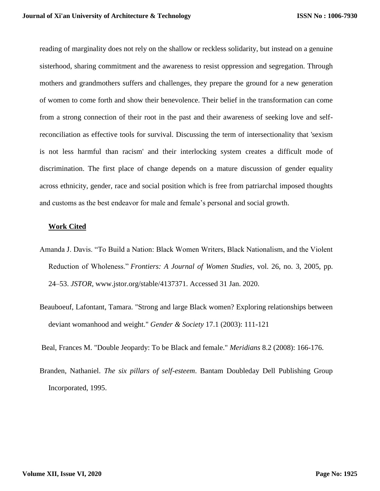reading of marginality does not rely on the shallow or reckless solidarity, but instead on a genuine sisterhood, sharing commitment and the awareness to resist oppression and segregation. Through mothers and grandmothers suffers and challenges, they prepare the ground for a new generation of women to come forth and show their benevolence. Their belief in the transformation can come from a strong connection of their root in the past and their awareness of seeking love and selfreconciliation as effective tools for survival. Discussing the term of intersectionality that 'sexism is not less harmful than racism' and their interlocking system creates a difficult mode of discrimination. The first place of change depends on a mature discussion of gender equality across ethnicity, gender, race and social position which is free from patriarchal imposed thoughts and customs as the best endeavor for male and female's personal and social growth.

## **Work Cited**

- Amanda J. Davis. "To Build a Nation: Black Women Writers, Black Nationalism, and the Violent Reduction of Wholeness." *Frontiers: A Journal of Women Studies*, vol. 26, no. 3, 2005, pp. 24–53. *JSTOR*, www.jstor.org/stable/4137371. Accessed 31 Jan. 2020.
- Beauboeuf, Lafontant, Tamara. "Strong and large Black women? Exploring relationships between deviant womanhood and weight." *Gender & Society* 17.1 (2003): 111-121

Beal, Frances M. "Double Jeopardy: To be Black and female." *Meridians* 8.2 (2008): 166-176.

Branden, Nathaniel. *The six pillars of self-esteem*. Bantam Doubleday Dell Publishing Group Incorporated, 1995.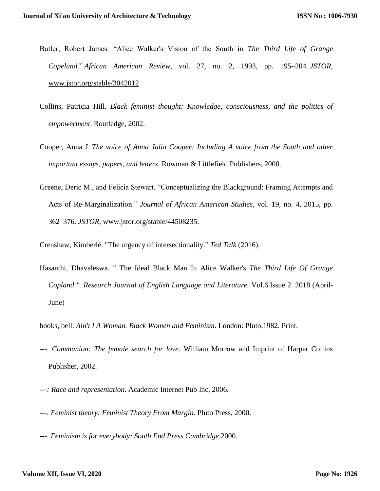- Butler, Robert James. "Alice Walker's Vision of the South in *The Third Life of Grange Copeland*." *African American Review*, vol. 27, no. 2, 1993, pp. 195–204. *JSTOR*, [www.jstor.org/stable/3042012](http://www.jstor.org/stable/3042012)
- Collins, Patricia Hill. *Black feminist thought: Knowledge, consciousness, and the politics of empowerment*. Routledge, 2002.
- Cooper, Anna J. *The voice of Anna Julia Cooper: Including A voice from the South and other important essays, papers, and letters*. Rowman & Littlefield Publishers, 2000.
- Greene, Deric M., and Felicia Stewart. "Conceptualizing the Blackground: Framing Attempts and Acts of Re-Marginalization." *Journal of African American Studies*, vol. 19, no. 4, 2015, pp. 362–376. *JSTOR*, www.jstor.org/stable/44508235.

Crenshaw, Kimberlé. "The urgency of intersectionality." *Ted Talk* (2016).

Hasanthi, Dhavaleswa. " The Ideal Black Man In Alice Walker's *The Third Life Of Grange Copland ". Research Journal of English Language and Literature.* Vol.6.Issue 2. 2018 (April-June)

hooks, bell. *Ain't I A Woman. Black Women and Feminism*. London: Pluto,1982. Print.

- ---. *Communion: The female search for love*. William Morrow and Imprint of Harper Collins Publisher, 2002.
- ---*: Race and representation*. Academic Internet Pub Inc, 2006.
- ---. *Feminist theory: Feminist Theory From Margin*. Pluto Press, 2000.
- ---. *Feminism is for everybody: South End Press Cambridge,*2000.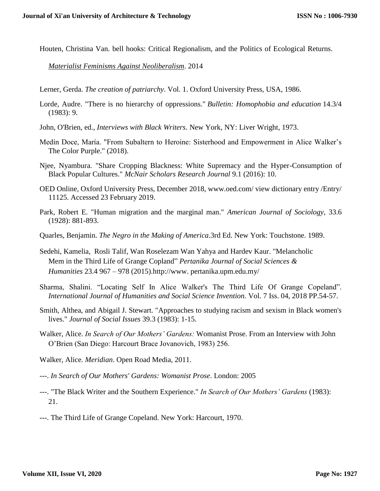Houten, Christina Van. bell hooks: Critical Regionalism, and the Politics of Ecological Returns.

*[Materialist Feminisms Against Neoliberalism](https://politicsandculture.org/issue/materialist-feminisms-against-neoliberalism/)*. 2014

- Lerner, Gerda. *The creation of patriarchy*. Vol. 1. Oxford University Press, USA, 1986.
- Lorde, Audre. "There is no hierarchy of oppressions." *Bulletin: Homophobia and education* 14.3/4 (1983): 9.
- John, O'Brien, ed., *Interviews with Black Writers*. New York, NY: Liver Wright, 1973.
- Medín Doce, María. "From Subaltern to Heroine: Sisterhood and Empowerment in Alice Walker's The Color Purple." (2018).
- Njee, Nyambura. "Share Cropping Blackness: White Supremacy and the Hyper-Consumption of Black Popular Cultures." *McNair Scholars Research Journal* 9.1 (2016): 10.
- OED Online, Oxford University Press, December 2018, www.oed.com/ view dictionary entry /Entry/ 11125. Accessed 23 February 2019.
- Park, Robert E. "Human migration and the marginal man." *American Journal of Sociology,* 33.6 (1928): 881-893.
- Quarles, Benjamin. *The Negro in the Making of America*.3rd Ed. New York: Touchstone. 1989.
- Sedehi, Kamelia, Rosli Talif, Wan Roselezam Wan Yahya and Hardev Kaur. "Melancholic Mem in the Third Life of Grange Copland" *Pertanika Journal of Social Sciences & Humanities* 23.4 967 – 978 (2015).http://www. pertanika.upm.edu.my/
- Sharma, Shalini. "Locating Self In Alice Walker's The Third Life Of Grange Copeland". *International Journal of Humanities and Social Science Invention.* Vol. 7 Iss. 04, 2018 PP.54-57.
- Smith, Althea, and Abigail J. Stewart. "Approaches to studying racism and sexism in Black women's lives." *Journal of Social Issues* 39.3 (1983): 1-15.
- Walker, Alice. *In Search of Our Mothers' Gardens:* Womanist Prose. From an Interview with John O'Brien (San Diego: Harcourt Brace Jovanovich, 1983) 256.
- Walker, Alice. *Meridian*. Open Road Media, 2011.
- ---. *In Search of Our Mothers' Gardens: Womanist Prose*. London: 2005
- ---. "The Black Writer and the Southern Experience." *In Search of Our Mothers' Gardens* (1983): 21.
- ---. The Third Life of Grange Copeland. New York: Harcourt, 1970.